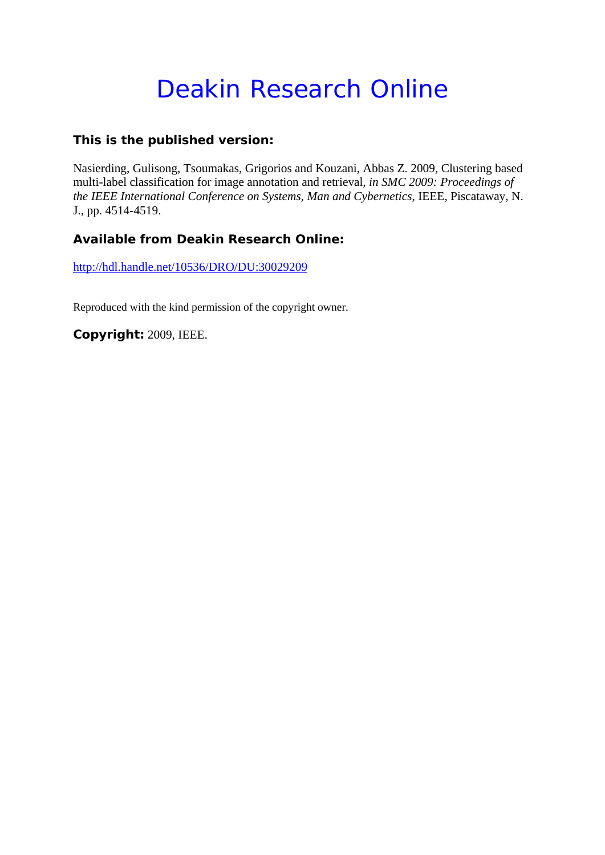# Deakin Research Online

### **This is the published version:**

Nasierding, Gulisong, Tsoumakas, Grigorios and Kouzani, Abbas Z. 2009, Clustering based multi-label classification for image annotation and retrieval*, in SMC 2009: Proceedings of the IEEE International Conference on Systems, Man and Cybernetics*, IEEE, Piscataway, N. J., pp. 4514-4519.

## **Available from Deakin Research Online:**

http://hdl.handle.net/10536/DRO/DU:30029209

Reproduced with the kind permission of the copyright owner.

**Copyright:** 2009, IEEE.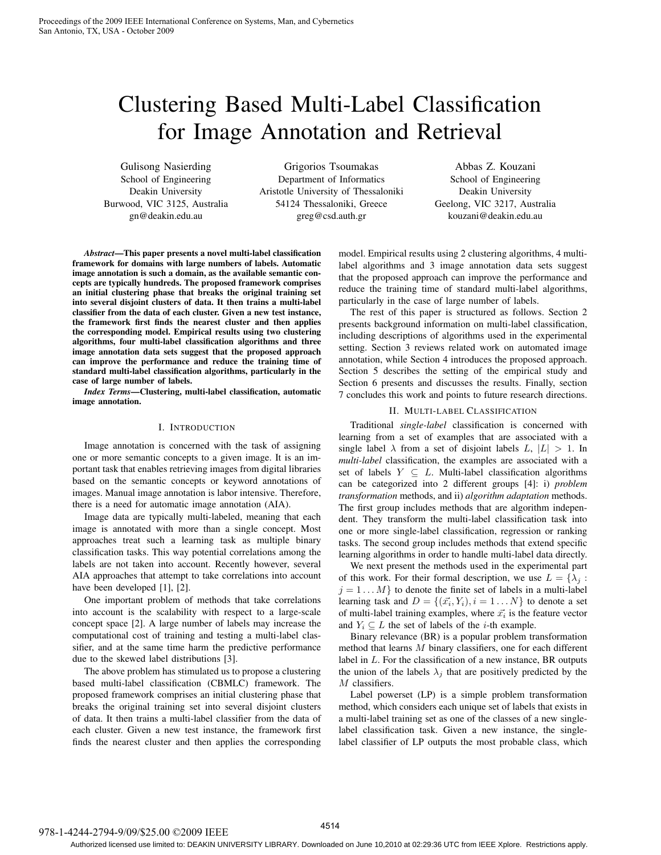## Clustering Based Multi-Label Classification for Image Annotation and Retrieval

Gulisong Nasierding School of Engineering Deakin University Burwood, VIC 3125, Australia gn@deakin.edu.au

Grigorios Tsoumakas Department of Informatics Aristotle University of Thessaloniki 54124 Thessaloniki, Greece greg@csd.auth.gr

Abbas Z. Kouzani School of Engineering Deakin University Geelong, VIC 3217, Australia kouzani@deakin.edu.au

*Abstract***—This paper presents a novel multi-label classification framework for domains with large numbers of labels. Automatic image annotation is such a domain, as the available semantic concepts are typically hundreds. The proposed framework comprises an initial clustering phase that breaks the original training set into several disjoint clusters of data. It then trains a multi-label classifier from the data of each cluster. Given a new test instance, the framework first finds the nearest cluster and then applies the corresponding model. Empirical results using two clustering algorithms, four multi-label classification algorithms and three image annotation data sets suggest that the proposed approach can improve the performance and reduce the training time of standard multi-label classification algorithms, particularly in the case of large number of labels.**

*Index Terms***—Clustering, multi-label classification, automatic image annotation.**

#### I. INTRODUCTION

Image annotation is concerned with the task of assigning one or more semantic concepts to a given image. It is an important task that enables retrieving images from digital libraries based on the semantic concepts or keyword annotations of images. Manual image annotation is labor intensive. Therefore, there is a need for automatic image annotation (AIA).

Image data are typically multi-labeled, meaning that each image is annotated with more than a single concept. Most approaches treat such a learning task as multiple binary classification tasks. This way potential correlations among the labels are not taken into account. Recently however, several AIA approaches that attempt to take correlations into account have been developed [1], [2].

One important problem of methods that take correlations into account is the scalability with respect to a large-scale concept space [2]. A large number of labels may increase the computational cost of training and testing a multi-label classifier, and at the same time harm the predictive performance due to the skewed label distributions [3].

The above problem has stimulated us to propose a clustering based multi-label classification (CBMLC) framework. The proposed framework comprises an initial clustering phase that breaks the original training set into several disjoint clusters of data. It then trains a multi-label classifier from the data of each cluster. Given a new test instance, the framework first finds the nearest cluster and then applies the corresponding model. Empirical results using 2 clustering algorithms, 4 multilabel algorithms and 3 image annotation data sets suggest that the proposed approach can improve the performance and reduce the training time of standard multi-label algorithms, particularly in the case of large number of labels.

The rest of this paper is structured as follows. Section 2 presents background information on multi-label classification, including descriptions of algorithms used in the experimental setting. Section 3 reviews related work on automated image annotation, while Section 4 introduces the proposed approach. Section 5 describes the setting of the empirical study and Section 6 presents and discusses the results. Finally, section 7 concludes this work and points to future research directions.

#### II. MULTI-LABEL CLASSIFICATION

Traditional *single-label* classification is concerned with learning from a set of examples that are associated with a single label  $\lambda$  from a set of disjoint labels L,  $|L| > 1$ . In *multi-label* classification, the examples are associated with a set of labels  $Y \subseteq L$ . Multi-label classification algorithms can be categorized into 2 different groups [4]: i) *problem transformation* methods, and ii) *algorithm adaptation* methods. The first group includes methods that are algorithm independent. They transform the multi-label classification task into one or more single-label classification, regression or ranking tasks. The second group includes methods that extend specific learning algorithms in order to handle multi-label data directly.

We next present the methods used in the experimental part of this work. For their formal description, we use  $L = \{\lambda_i :$  $j = 1 \dots M$  to denote the finite set of labels in a multi-label learning task and  $D = \{(\vec{x_i}, Y_i), i = 1 \dots N\}$  to denote a set of multi-label training examples, where  $\vec{x_i}$  is the feature vector and  $Y_i \subseteq L$  the set of labels of the *i*-th example.

Binary relevance (BR) is a popular problem transformation method that learns  $M$  binary classifiers, one for each different label in L. For the classification of a new instance, BR outputs the union of the labels  $\lambda_i$  that are positively predicted by the M classifiers.

Label powerset (LP) is a simple problem transformation method, which considers each unique set of labels that exists in a multi-label training set as one of the classes of a new singlelabel classification task. Given a new instance, the singlelabel classifier of LP outputs the most probable class, which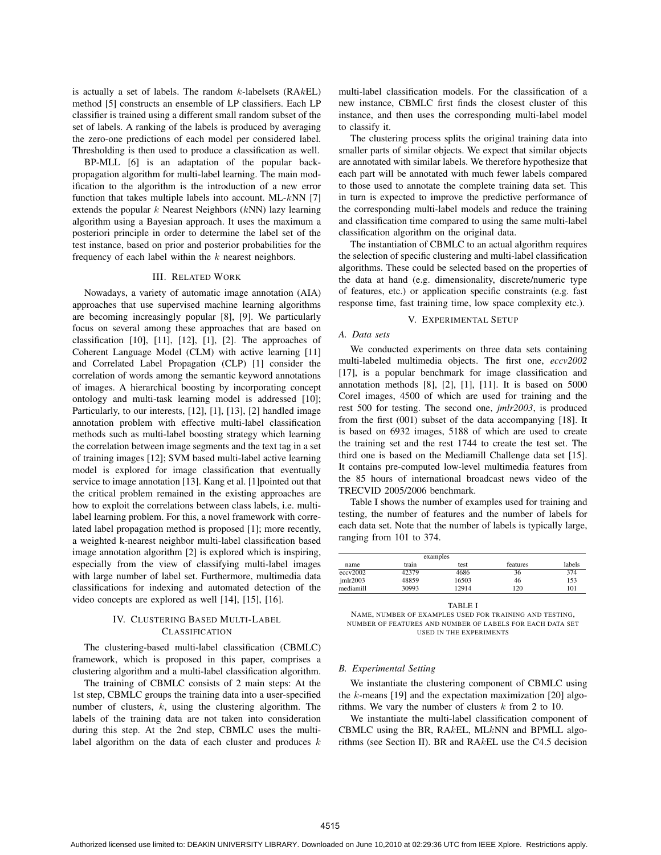is actually a set of labels. The random  $k$ -labelsets (RA $k$ EL) method [5] constructs an ensemble of LP classifiers. Each LP classifier is trained using a different small random subset of the set of labels. A ranking of the labels is produced by averaging the zero-one predictions of each model per considered label. Thresholding is then used to produce a classification as well.

BP-MLL [6] is an adaptation of the popular backpropagation algorithm for multi-label learning. The main modification to the algorithm is the introduction of a new error function that takes multiple labels into account.  $ML-kNN$  [7] extends the popular  $k$  Nearest Neighbors ( $kNN$ ) lazy learning algorithm using a Bayesian approach. It uses the maximum a posteriori principle in order to determine the label set of the test instance, based on prior and posterior probabilities for the frequency of each label within the  $k$  nearest neighbors.

#### III. RELATED WORK

Nowadays, a variety of automatic image annotation (AIA) approaches that use supervised machine learning algorithms are becoming increasingly popular [8], [9]. We particularly focus on several among these approaches that are based on classification [10], [11], [12], [1], [2]. The approaches of Coherent Language Model (CLM) with active learning [11] and Correlated Label Propagation (CLP) [1] consider the correlation of words among the semantic keyword annotations of images. A hierarchical boosting by incorporating concept ontology and multi-task learning model is addressed [10]; Particularly, to our interests, [12], [1], [13], [2] handled image annotation problem with effective multi-label classification methods such as multi-label boosting strategy which learning the correlation between image segments and the text tag in a set of training images [12]; SVM based multi-label active learning model is explored for image classification that eventually service to image annotation [13]. Kang et al. [1]pointed out that the critical problem remained in the existing approaches are how to exploit the correlations between class labels, i.e. multilabel learning problem. For this, a novel framework with correlated label propagation method is proposed [1]; more recently, a weighted k-nearest neighbor multi-label classification based image annotation algorithm [2] is explored which is inspiring, especially from the view of classifying multi-label images with large number of label set. Furthermore, multimedia data classifications for indexing and automated detection of the video concepts are explored as well [14], [15], [16].

#### IV. CLUSTERING BASED MULTI-LABEL CLASSIFICATION

The clustering-based multi-label classification (CBMLC) framework, which is proposed in this paper, comprises a clustering algorithm and a multi-label classification algorithm.

The training of CBMLC consists of 2 main steps: At the 1st step, CBMLC groups the training data into a user-specified number of clusters,  $k$ , using the clustering algorithm. The labels of the training data are not taken into consideration during this step. At the 2nd step, CBMLC uses the multilabel algorithm on the data of each cluster and produces  $k$ 

multi-label classification models. For the classification of a new instance, CBMLC first finds the closest cluster of this instance, and then uses the corresponding multi-label model to classify it.

The clustering process splits the original training data into smaller parts of similar objects. We expect that similar objects are annotated with similar labels. We therefore hypothesize that each part will be annotated with much fewer labels compared to those used to annotate the complete training data set. This in turn is expected to improve the predictive performance of the corresponding multi-label models and reduce the training and classification time compared to using the same multi-label classification algorithm on the original data.

The instantiation of CBMLC to an actual algorithm requires the selection of specific clustering and multi-label classification algorithms. These could be selected based on the properties of the data at hand (e.g. dimensionality, discrete/numeric type of features, etc.) or application specific constraints (e.g. fast response time, fast training time, low space complexity etc.).

#### V. EXPERIMENTAL SETUP

#### *A. Data sets*

We conducted experiments on three data sets containing multi-labeled multimedia objects. The first one, *eccv2002* [17], is a popular benchmark for image classification and annotation methods [8], [2], [1], [11]. It is based on 5000 Corel images, 4500 of which are used for training and the rest 500 for testing. The second one, *jmlr2003*, is produced from the first (001) subset of the data accompanying [18]. It is based on 6932 images, 5188 of which are used to create the training set and the rest 1744 to create the test set. The third one is based on the Mediamill Challenge data set [15]. It contains pre-computed low-level multimedia features from the 85 hours of international broadcast news video of the TRECVID 2005/2006 benchmark.

Table I shows the number of examples used for training and testing, the number of features and the number of labels for each data set. Note that the number of labels is typically large, ranging from 101 to 374.

|           |       | examples |          |        |
|-----------|-------|----------|----------|--------|
| name      | train | test     | features | labels |
| eccv2002  | 42379 | 4686     | 36       | 374    |
| jmlr2003  | 48859 | 16503    | 46       | 153    |
| mediamill | 30993 | 12914    | 120      | 101    |

TABLE I

NAME, NUMBER OF EXAMPLES USED FOR TRAINING AND TESTING, NUMBER OF FEATURES AND NUMBER OF LABELS FOR EACH DATA SET USED IN THE EXPERIMENTS

#### *B. Experimental Setting*

We instantiate the clustering component of CBMLC using the  $k$ -means [19] and the expectation maximization [20] algorithms. We vary the number of clusters  $k$  from 2 to 10.

We instantiate the multi-label classification component of CBMLC using the BR, RAkEL, MLkNN and BPMLL algorithms (see Section II). BR and RAkEL use the C4.5 decision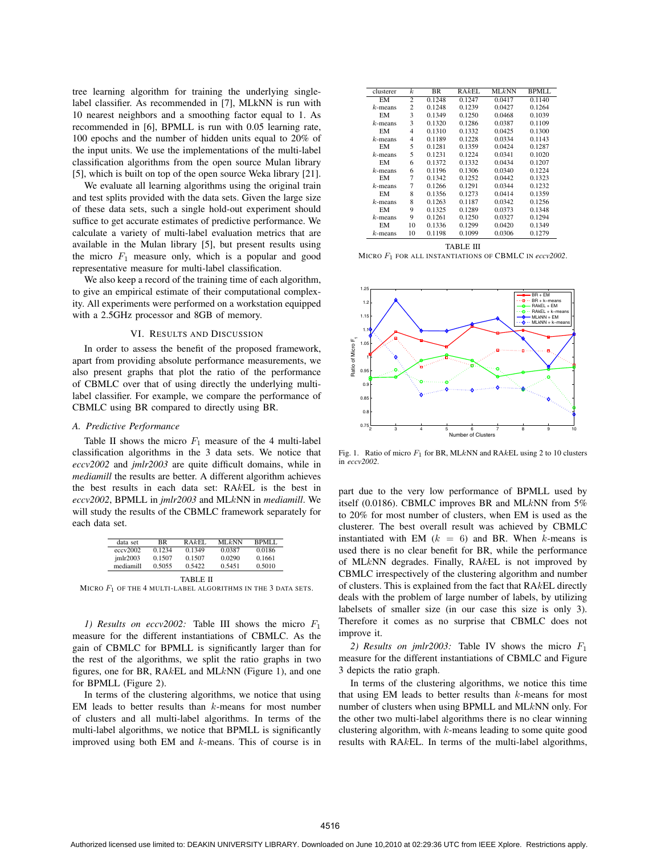tree learning algorithm for training the underlying singlelabel classifier. As recommended in [7], MLkNN is run with 10 nearest neighbors and a smoothing factor equal to 1. As recommended in [6], BPMLL is run with 0.05 learning rate, 100 epochs and the number of hidden units equal to 20% of the input units. We use the implementations of the multi-label classification algorithms from the open source Mulan library [5], which is built on top of the open source Weka library [21].

We evaluate all learning algorithms using the original train and test splits provided with the data sets. Given the large size of these data sets, such a single hold-out experiment should suffice to get accurate estimates of predictive performance. We calculate a variety of multi-label evaluation metrics that are available in the Mulan library [5], but present results using the micro  $F_1$  measure only, which is a popular and good representative measure for multi-label classification.

We also keep a record of the training time of each algorithm, to give an empirical estimate of their computational complexity. All experiments were performed on a workstation equipped with a 2.5GHz processor and 8GB of memory.

#### VI. RESULTS AND DISCUSSION

In order to assess the benefit of the proposed framework, apart from providing absolute performance measurements, we also present graphs that plot the ratio of the performance of CBMLC over that of using directly the underlying multilabel classifier. For example, we compare the performance of CBMLC using BR compared to directly using BR.

#### *A. Predictive Performance*

Table II shows the micro  $F_1$  measure of the 4 multi-label classification algorithms in the 3 data sets. We notice that *eccv2002* and *jmlr2003* are quite difficult domains, while in *mediamill* the results are better. A different algorithm achieves the best results in each data set: RAkEL is the best in *eccv2002*, BPMLL in *jmlr2003* and MLkNN in *mediamill*. We will study the results of the CBMLC framework separately for each data set.

| data set  | <b>BR</b> | $R$ A $k$ FI.   | $MI$ $kNN$ | <b>RPMLL</b> |
|-----------|-----------|-----------------|------------|--------------|
| eccv2002  | 0.1234    | 0.1349          | 0.0387     | 0.0186       |
| imlr2003  | 0.1507    | 0.1507          | 0.0290     | 0.1661       |
| mediamill | 0.5055    | 0.5422          | 0.5451     | 0.5010       |
|           |           | <b>TABLE II</b> |            |              |

MICRO  $F_1$  OF THE 4 MULTI-LABEL ALGORITHMS IN THE 3 DATA SETS.

*1) Results on eccv2002:* Table III shows the micro  $F_1$ measure for the different instantiations of CBMLC. As the gain of CBMLC for BPMLL is significantly larger than for the rest of the algorithms, we split the ratio graphs in two figures, one for BR, RAkEL and MLkNN (Figure 1), and one for BPMLL (Figure 2).

In terms of the clustering algorithms, we notice that using EM leads to better results than  $k$ -means for most number of clusters and all multi-label algorithms. In terms of the multi-label algorithms, we notice that BPMLL is significantly improved using both EM and  $k$ -means. This of course is in

| clusterer  | k              | <b>BR</b> | RAkEI. | MLkNN  | BPMLL. |
|------------|----------------|-----------|--------|--------|--------|
| EM         | $\overline{c}$ | 0.1248    | 0.1247 | 0.0417 | 0.1140 |
| $k$ -means | $\overline{c}$ | 0.1248    | 0.1239 | 0.0427 | 0.1264 |
| EM         | 3              | 0.1349    | 0.1250 | 0.0468 | 0.1039 |
| $k$ -means | 3              | 0.1320    | 0.1286 | 0.0387 | 0.1109 |
| EM         | 4              | 0.1310    | 0.1332 | 0.0425 | 0.1300 |
| $k$ -means | 4              | 0.1189    | 0.1228 | 0.0334 | 0.1143 |
| EM         | 5              | 0.1281    | 0.1359 | 0.0424 | 0.1287 |
| $k$ -means | 5              | 0.1231    | 0.1224 | 0.0341 | 0.1020 |
| EM         | 6              | 0.1372    | 0.1332 | 0.0434 | 0.1207 |
| $k$ -means | 6              | 0.1196    | 0.1306 | 0.0340 | 0.1224 |
| EM         | 7              | 0.1342    | 0.1252 | 0.0442 | 0.1323 |
| $k$ -means | 7              | 0.1266    | 0.1291 | 0.0344 | 0.1232 |
| EM         | 8              | 0.1356    | 0.1273 | 0.0414 | 0.1359 |
| $k$ -means | 8              | 0.1263    | 0.1187 | 0.0342 | 0.1256 |
| EM         | 9              | 0.1325    | 0.1289 | 0.0373 | 0.1348 |
| $k$ -means | 9              | 0.1261    | 0.1250 | 0.0327 | 0.1294 |
| EM         | 10             | 0.1336    | 0.1299 | 0.0420 | 0.1349 |
| $k$ -means | 10             | 0.1198    | 0.1099 | 0.0306 | 0.1279 |

| TABLE III |  |
|-----------|--|
|           |  |

MICRO F<sup>1</sup> FOR ALL INSTANTIATIONS OF CBMLC IN *eccv2002*.



Fig. 1. Ratio of micro  $F_1$  for BR, MLkNN and RAkEL using 2 to 10 clusters in *eccv2002*.

part due to the very low performance of BPMLL used by itself (0.0186). CBMLC improves BR and MLkNN from 5% to 20% for most number of clusters, when EM is used as the clusterer. The best overall result was achieved by CBMLC instantiated with EM  $(k = 6)$  and BR. When k-means is used there is no clear benefit for BR, while the performance of MLkNN degrades. Finally, RAkEL is not improved by CBMLC irrespectively of the clustering algorithm and number of clusters. This is explained from the fact that RAkEL directly deals with the problem of large number of labels, by utilizing labelsets of smaller size (in our case this size is only 3). Therefore it comes as no surprise that CBMLC does not improve it.

2) Results on jmlr2003: Table IV shows the micro  $F_1$ measure for the different instantiations of CBMLC and Figure 3 depicts the ratio graph.

In terms of the clustering algorithms, we notice this time that using EM leads to better results than  $k$ -means for most number of clusters when using BPMLL and MLkNN only. For the other two multi-label algorithms there is no clear winning clustering algorithm, with  $k$ -means leading to some quite good results with RAkEL. In terms of the multi-label algorithms,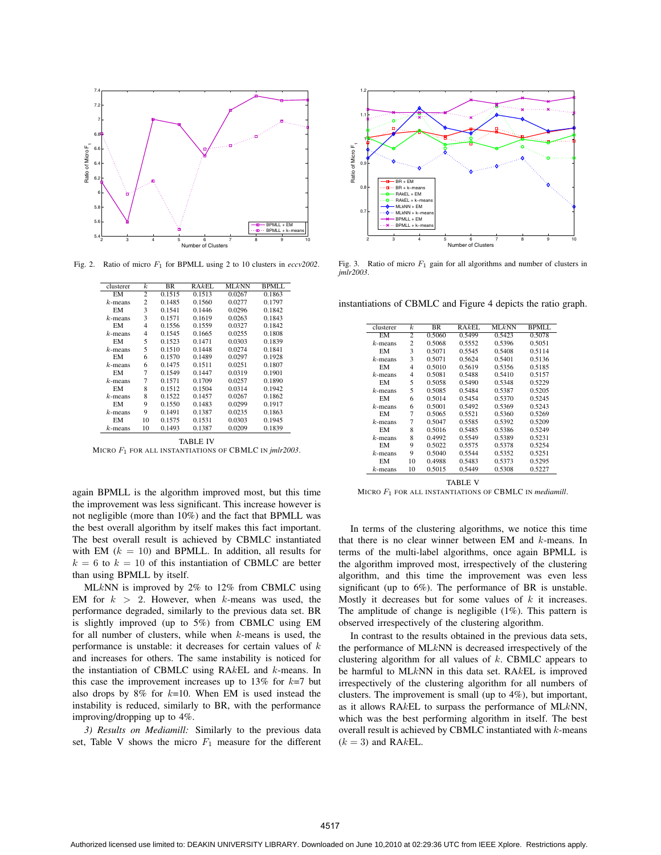

Fig. 2. Ratio of micro F<sup>1</sup> for BPMLL using 2 to 10 clusters in *eccv2002*.

| clusterer  | $\boldsymbol{k}$ | BR     | RAkEI. | MLkNN  | BPMLL  |
|------------|------------------|--------|--------|--------|--------|
| EM         | $\overline{c}$   | 0.1515 | 0.1513 | 0.0267 | 0.1863 |
| $k$ -means | $\overline{c}$   | 0.1485 | 0.1560 | 0.0277 | 0.1797 |
| EM         | 3                | 0.1541 | 0.1446 | 0.0296 | 0.1842 |
| $k$ -means | 3                | 0.1571 | 0.1619 | 0.0263 | 0.1843 |
| EM         | 4                | 0.1556 | 0.1559 | 0.0327 | 0.1842 |
| $k$ -means | $\overline{4}$   | 0.1545 | 0.1665 | 0.0255 | 0.1808 |
| EM         | 5                | 0.1523 | 0.1471 | 0.0303 | 0.1839 |
| $k$ -means | 5                | 0.1510 | 0.1448 | 0.0274 | 0.1841 |
| EM         | 6                | 0.1570 | 0.1489 | 0.0297 | 0.1928 |
| $k$ -means | 6                | 0.1475 | 0.1511 | 0.0251 | 0.1807 |
| EM         | 7                | 0.1549 | 0.1447 | 0.0319 | 0.1901 |
| $k$ -means | 7                | 0.1571 | 0.1709 | 0.0257 | 0.1890 |
| EM         | 8                | 0.1512 | 0.1504 | 0.0314 | 0.1942 |
| $k$ -means | 8                | 0.1522 | 0.1457 | 0.0267 | 0.1862 |
| EM         | 9                | 0.1550 | 0.1483 | 0.0299 | 0.1917 |
| $k$ -means | 9                | 0.1491 | 0.1387 | 0.0235 | 0.1863 |
| EM         | 10               | 0.1575 | 0.1531 | 0.0303 | 0.1945 |
| $k$ -means | 10               | 0.1493 | 0.1387 | 0.0209 | 0.1839 |
|            |                  |        |        |        |        |

TABLE IV

MICRO F<sup>1</sup> FOR ALL INSTANTIATIONS OF CBMLC IN *jmlr2003*.

again BPMLL is the algorithm improved most, but this time the improvement was less significant. This increase however is not negligible (more than 10%) and the fact that BPMLL was the best overall algorithm by itself makes this fact important. The best overall result is achieved by CBMLC instantiated with EM  $(k = 10)$  and BPMLL. In addition, all results for  $k = 6$  to  $k = 10$  of this instantiation of CBMLC are better than using BPMLL by itself.

MLkNN is improved by 2% to 12% from CBMLC using EM for  $k > 2$ . However, when k-means was used, the performance degraded, similarly to the previous data set. BR is slightly improved (up to 5%) from CBMLC using EM for all number of clusters, while when  $k$ -means is used, the performance is unstable: it decreases for certain values of  $k$ and increases for others. The same instability is noticed for the instantiation of CBMLC using RAkEL and k-means. In this case the improvement increases up to 13% for  $k=7$  but also drops by  $8\%$  for  $k=10$ . When EM is used instead the instability is reduced, similarly to BR, with the performance improving/dropping up to 4%.

*3) Results on Mediamill:* Similarly to the previous data set, Table V shows the micro  $F_1$  measure for the different



Fig. 3. Ratio of micro  $F_1$  gain for all algorithms and number of clusters in *jmlr2003*.

instantiations of CBMLC and Figure 4 depicts the ratio graph.

| clusterer  | $\boldsymbol{k}$ | BR     | RAkEI. | MLkNN  | BPMLL. |
|------------|------------------|--------|--------|--------|--------|
| EM         | $\overline{2}$   | 0.5060 | 0.5499 | 0.5423 | 0.5078 |
| $k$ -means | $\overline{c}$   | 0.5068 | 0.5552 | 0.5396 | 0.5051 |
| EM         | 3                | 0.5071 | 0.5545 | 0.5408 | 0.5114 |
| $k$ -means | 3                | 0.5071 | 0.5624 | 0.5401 | 0.5136 |
| EM         | 4                | 0.5010 | 0.5619 | 0.5356 | 0.5185 |
| $k$ -means | 4                | 0.5081 | 0.5488 | 0.5410 | 0.5157 |
| EM         | 5                | 0.5058 | 0.5490 | 0.5348 | 0.5229 |
| $k$ -means | 5                | 0.5085 | 0.5484 | 0.5387 | 0.5205 |
| EM         | 6                | 0.5014 | 0.5454 | 0.5370 | 0.5245 |
| $k$ -means | 6                | 0.5001 | 0.5492 | 0.5369 | 0.5243 |
| EM         | 7                | 0.5065 | 0.5521 | 0.5360 | 0.5269 |
| $k$ -means | 7                | 0.5047 | 0.5585 | 0.5392 | 0.5209 |
| EM         | 8                | 0.5016 | 0.5485 | 0.5386 | 0.5249 |
| $k$ -means | 8                | 0.4992 | 0.5549 | 0.5389 | 0.5231 |
| EM         | 9                | 0.5022 | 0.5575 | 0.5378 | 0.5254 |
| $k$ -means | 9                | 0.5040 | 0.5544 | 0.5352 | 0.5251 |
| EM         | 10               | 0.4988 | 0.5483 | 0.5373 | 0.5295 |
| $k$ -means | 10               | 0.5015 | 0.5449 | 0.5308 | 0.5227 |

TABLE V

MICRO F<sup>1</sup> FOR ALL INSTANTIATIONS OF CBMLC IN *mediamill*.

In terms of the clustering algorithms, we notice this time that there is no clear winner between EM and  $k$ -means. In terms of the multi-label algorithms, once again BPMLL is the algorithm improved most, irrespectively of the clustering algorithm, and this time the improvement was even less significant (up to 6%). The performance of BR is unstable. Mostly it decreases but for some values of  $k$  it increases. The amplitude of change is negligible (1%). This pattern is observed irrespectively of the clustering algorithm.

In contrast to the results obtained in the previous data sets, the performance of MLkNN is decreased irrespectively of the clustering algorithm for all values of  $k$ . CBMLC appears to be harmful to MLkNN in this data set. RAkEL is improved irrespectively of the clustering algorithm for all numbers of clusters. The improvement is small (up to 4%), but important, as it allows RA $k$ EL to surpass the performance of ML $k$ NN, which was the best performing algorithm in itself. The best overall result is achieved by CBMLC instantiated with  $k$ -means  $(k = 3)$  and RA $kEL$ .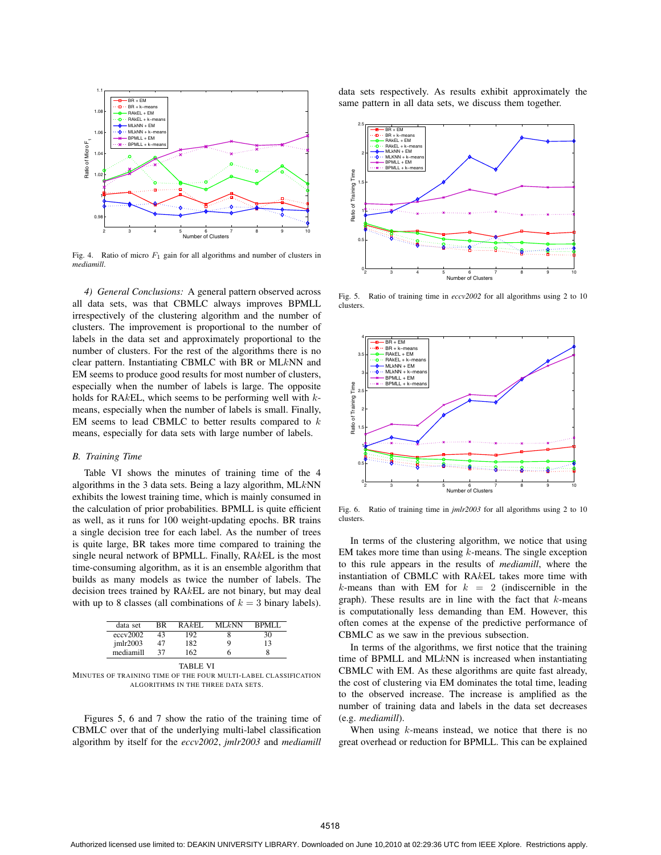

Fig. 4. Ratio of micro  $F_1$  gain for all algorithms and number of clusters in *mediamill*.

*4) General Conclusions:* A general pattern observed across all data sets, was that CBMLC always improves BPMLL irrespectively of the clustering algorithm and the number of clusters. The improvement is proportional to the number of labels in the data set and approximately proportional to the number of clusters. For the rest of the algorithms there is no clear pattern. Instantiating CBMLC with BR or MLkNN and EM seems to produce good results for most number of clusters, especially when the number of labels is large. The opposite holds for RA $kEL$ , which seems to be performing well with  $k$ means, especially when the number of labels is small. Finally, EM seems to lead CBMLC to better results compared to  $k$ means, especially for data sets with large number of labels.

#### *B. Training Time*

Table VI shows the minutes of training time of the 4 algorithms in the 3 data sets. Being a lazy algorithm, MLkNN exhibits the lowest training time, which is mainly consumed in the calculation of prior probabilities. BPMLL is quite efficient as well, as it runs for 100 weight-updating epochs. BR trains a single decision tree for each label. As the number of trees is quite large, BR takes more time compared to training the single neural network of BPMLL. Finally, RAkEL is the most time-consuming algorithm, as it is an ensemble algorithm that builds as many models as twice the number of labels. The decision trees trained by RAkEL are not binary, but may deal with up to 8 classes (all combinations of  $k = 3$  binary labels).

| data set        | <b>BR</b> | $R$ A $k$ EI. | MLkNN | <b>RPMLL</b> |  |  |
|-----------------|-----------|---------------|-------|--------------|--|--|
| eccv2002        | 43        | 192           |       | 30           |  |  |
| imlr2003        | 47        | 182           | Q     | 13           |  |  |
| mediamill       | 37        | 162           |       |              |  |  |
| <b>TABLE VI</b> |           |               |       |              |  |  |

MINUTES OF TRAINING TIME OF THE FOUR MULTI-LABEL CLASSIFICATION ALGORITHMS IN THE THREE DATA SETS.

Figures 5, 6 and 7 show the ratio of the training time of CBMLC over that of the underlying multi-label classification algorithm by itself for the *eccv2002*, *jmlr2003* and *mediamill* data sets respectively. As results exhibit approximately the same pattern in all data sets, we discuss them together.



Fig. 5. Ratio of training time in *eccv2002* for all algorithms using 2 to 10 clusters.



Fig. 6. Ratio of training time in *jmlr2003* for all algorithms using 2 to 10 clusters.

In terms of the clustering algorithm, we notice that using EM takes more time than using  $k$ -means. The single exception to this rule appears in the results of *mediamill*, where the instantiation of CBMLC with RAkEL takes more time with k-means than with EM for  $k = 2$  (indiscernible in the graph). These results are in line with the fact that  $k$ -means is computationally less demanding than EM. However, this often comes at the expense of the predictive performance of CBMLC as we saw in the previous subsection.

In terms of the algorithms, we first notice that the training time of BPMLL and MLkNN is increased when instantiating CBMLC with EM. As these algorithms are quite fast already, the cost of clustering via EM dominates the total time, leading to the observed increase. The increase is amplified as the number of training data and labels in the data set decreases (e.g. *mediamill*).

When using  $k$ -means instead, we notice that there is no great overhead or reduction for BPMLL. This can be explained